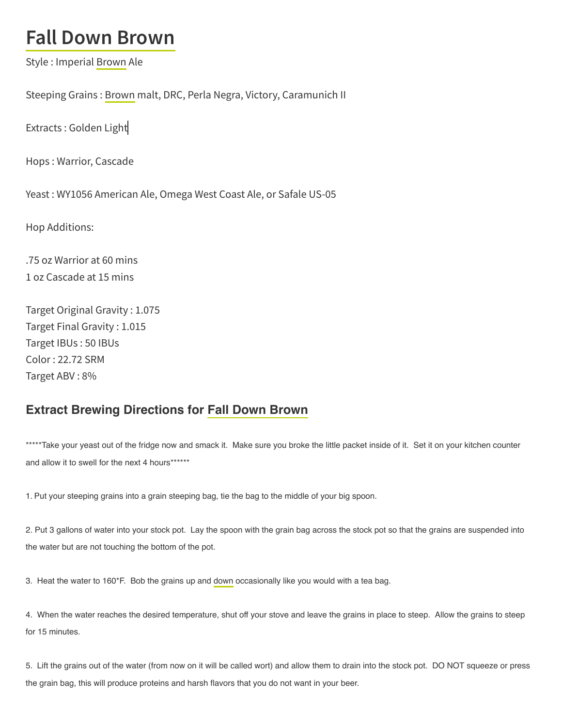## **Fall Down Brown**

Style : Imperial Brown Ale

Steeping Grains : Brown malt, DRC, Perla Negra, Victory, Caramunich II

Extracts : Golden Light

Hops : Warrior, Cascade

Yeast : WY1056 American Ale, Omega West Coast Ale, or Safale US-05

Hop Additions:

.75 oz Warrior at 60 mins 1 oz Cascade at 15 mins

Target Original Gravity : 1.075 Target Final Gravity : 1.015 Target IBUs : 50 IBUs Color : 22.72 SRM Target ABV : 8%

## Extract Brewing Directions for Fall Down Brown

\*\*\*\*\*Take your yeast out of the fridge now and smack it. Make sure you broke the little packet inside of it. Set it on your kitchen counter and allow it to swell for the next 4 hours\*\*\*\*\*\*\*

1. Put your steeping grains into a grain steeping bag, tie the bag to the middle of your big spoon.

2. Put 3 gallons of water into your stock pot. Lay the spoon with the grain bag across the stock pot so that the grains are suspended into the water but are not touching the bottom of the pot.

3. Heat the water to 160\*F. Bob the grains up and down occasionally like you would with a tea bag.

4. When the water reaches the desired temperature, shut off your stove and leave the grains in place to steep. Allow the grains to steep for 15 minutes.

5. Lift the grains out of the water (from now on it will be called wort) and allow them to drain into the stock pot. DO NOT squeeze or press the grain bag, this will produce proteins and harsh flavors that you do not want in your beer.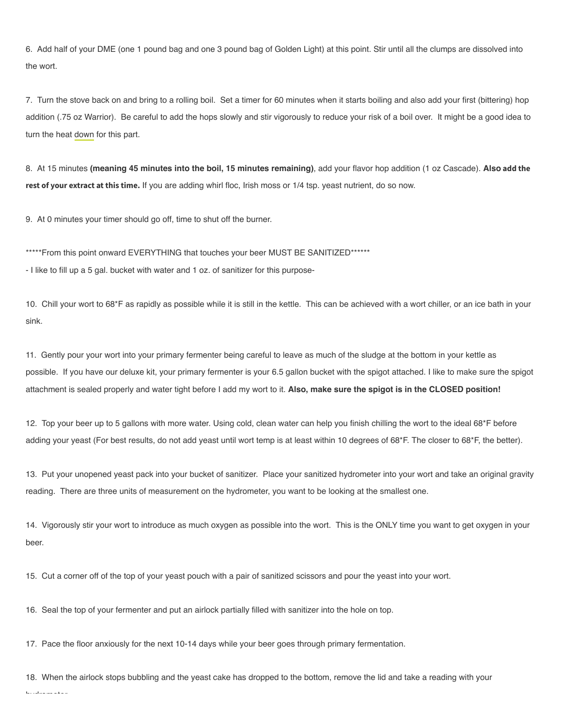6. Add half of your DME (one 1 pound bag and one 3 pound bag of Golden Light) at this point. Stir until all the clumps are dissolved into the wort.

7. Turn the stove back on and bring to a rolling boil. Set a timer for 60 minutes when it starts boiling and also add your first (bittering) hop addition (.75 oz Warrior). Be careful to add the hops slowly and stir vigorously to reduce your risk of a boil over. It might be a good idea to turn the heat down for this part.

8. At 15 minutes (meaning 45 minutes into the boil, 15 minutes remaining), add your flavor hop addition (1 oz Cascade). Also **add the rest of your extract at this time.** If you are adding whirl floc, Irish moss or 1/4 tsp. yeast nutrient, do so now.

9. At 0 minutes your timer should go off, time to shut off the burner.

\*\*\*\*\*From this point onward EVERYTHING that touches your beer MUST BE SANITIZED\*\*\*\*\*\*

- I like to fill up a 5 gal. bucket with water and 1 oz. of sanitizer for this purpose-

10. Chill your wort to 68\*F as rapidly as possible while it is still in the kettle. This can be achieved with a wort chiller, or an ice bath in your sink.

11. Gently pour your wort into your primary fermenter being careful to leave as much of the sludge at the bottom in your kettle as possible. If you have our deluxe kit, your primary fermenter is your 6.5 gallon bucket with the spigot attached. I like to make sure the spigot attachment is sealed properly and water tight before I add my wort to it. Also, make sure the spigot is in the CLOSED position!

12. Top your beer up to 5 gallons with more water. Using cold, clean water can help you finish chilling the wort to the ideal 68\*F before adding your yeast (For best results, do not add yeast until wort temp is at least within 10 degrees of 68\*F. The closer to 68\*F, the better).

13. Put your unopened yeast pack into your bucket of sanitizer. Place your sanitized hydrometer into your wort and take an original gravity reading. There are three units of measurement on the hydrometer, you want to be looking at the smallest one.

14. Vigorously stir your wort to introduce as much oxygen as possible into the wort. This is the ONLY time you want to get oxygen in your beer.

15. Cut a corner off of the top of your yeast pouch with a pair of sanitized scissors and pour the yeast into your wort.

16. Seal the top of your fermenter and put an airlock partially filled with sanitizer into the hole on top.

17. Pace the floor anxiously for the next 10-14 days while your beer goes through primary fermentation.

18. When the airlock stops bubbling and the yeast cake has dropped to the bottom, remove the lid and take a reading with your hydrometer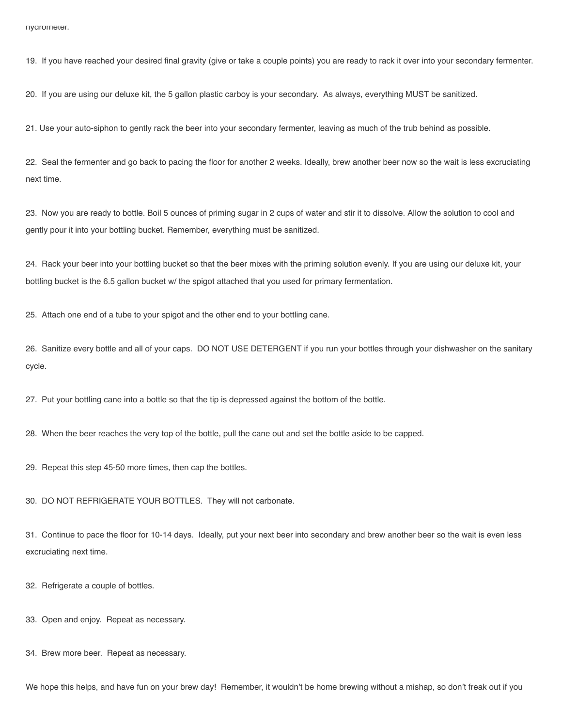19. If you have reached your desired final gravity (give or take a couple points) you are ready to rack it over into your secondary fermenter.

20. If you are using our deluxe kit, the 5 gallon plastic carboy is your secondary. As always, everything MUST be sanitized.

21. Use your auto-siphon to gently rack the beer into your secondary fermenter, leaving as much of the trub behind as possible.

22. Seal the fermenter and go back to pacing the floor for another 2 weeks. Ideally, brew another beer now so the wait is less excruciating next time.

23. Now you are ready to bottle. Boil 5 ounces of priming sugar in 2 cups of water and stir it to dissolve. Allow the solution to cool and gently pour it into your bottling bucket. Remember, everything must be sanitized.

24. Rack your beer into your bottling bucket so that the beer mixes with the priming solution evenly. If you are using our deluxe kit, your bottling bucket is the 6.5 gallon bucket w/ the spigot attached that you used for primary fermentation.

25. Attach one end of a tube to your spigot and the other end to your bottling cane.

26. Sanitize every bottle and all of your caps. DO NOT USE DETERGENT if you run your bottles through your dishwasher on the sanitary cycle.

27. Put your bottling cane into a bottle so that the tip is depressed against the bottom of the bottle.

28. When the beer reaches the very top of the bottle, pull the cane out and set the bottle aside to be capped.

29. Repeat this step 45-50 more times, then cap the bottles.

30. DO NOT REFRIGERATE YOUR BOTTLES. They will not carbonate.

31. Continue to pace the floor for 10-14 days. Ideally, put your next beer into secondary and brew another beer so the wait is even less excruciating next time.

32. Refrigerate a couple of bottles.

33. Open and enjoy. Repeat as necessary.

34. Brew more beer. Repeat as necessary.

We hope this helps, and have fun on your brew day! Remember, it wouldn't be home brewing without a mishap, so don't freak out if you